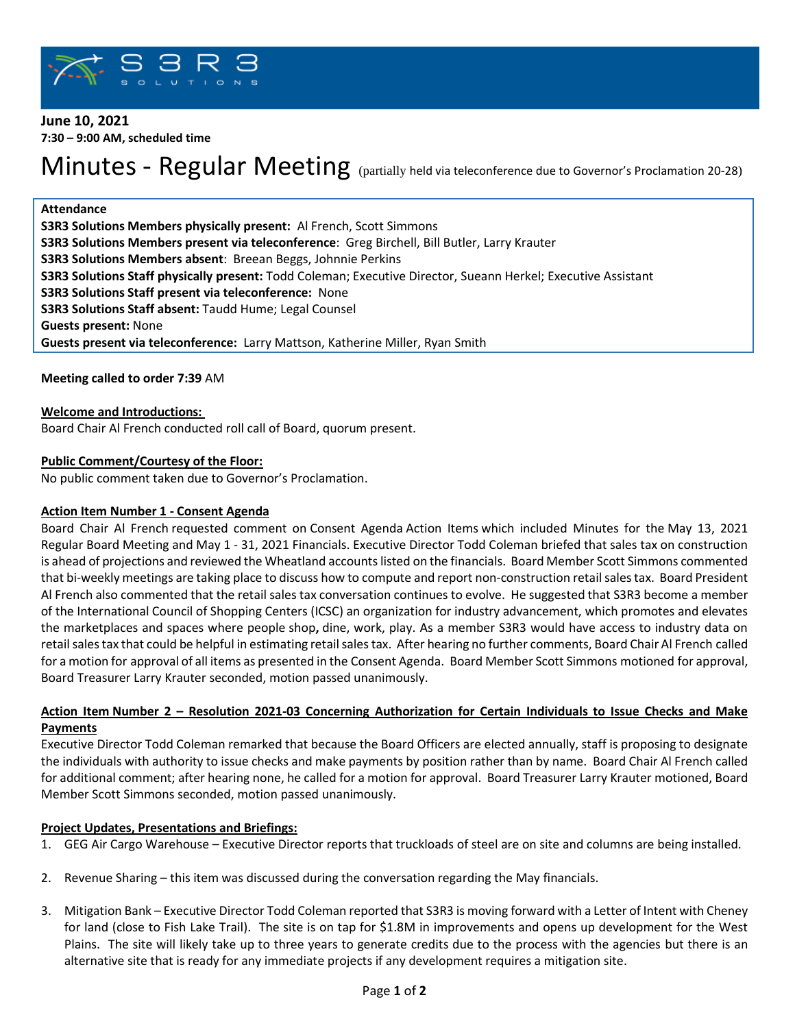

# **June 10, 2021 7:30 – 9:00 AM, scheduled time**

# Minutes - Regular Meeting (partially held via teleconference due to Governor's Proclamation 20-28)

#### **Attendance**

**S3R3 Solutions Members physically present:** Al French, Scott Simmons **S3R3 Solutions Members present via teleconference**: Greg Birchell, Bill Butler, Larry Krauter **S3R3 Solutions Members absent**: Breean Beggs, Johnnie Perkins **S3R3 Solutions Staff physically present:** Todd Coleman; Executive Director, Sueann Herkel; Executive Assistant **S3R3 Solutions Staff present via teleconference:** None **S3R3 Solutions Staff absent:** Taudd Hume; Legal Counsel **Guests present:** None **Guests present via teleconference:** Larry Mattson, Katherine Miller, Ryan Smith

**Meeting called to order 7:39** AM

## **Welcome and Introductions:**

Board Chair Al French conducted roll call of Board, quorum present.

## **Public Comment/Courtesy of the Floor:**

No public comment taken due to Governor's Proclamation.

#### **Action Item Number 1 - Consent Agenda**

Board Chair Al French requested comment on Consent Agenda Action Items which included Minutes for the May 13, 2021 Regular Board Meeting and May 1 - 31, 2021 Financials. Executive Director Todd Coleman briefed that sales tax on construction is ahead of projections and reviewed the Wheatland accounts listed on the financials. Board Member Scott Simmons commented that bi-weekly meetings are taking place to discuss how to compute and report non-construction retail sales tax. Board President Al French also commented that the retail sales tax conversation continues to evolve. He suggested that S3R3 become a member of the International Council of Shopping Centers (ICSC) an organization for industry advancement, which promotes and elevates the marketplaces and spaces where people shop**,** dine, work, play. As a member S3R3 would have access to industry data on retail sales tax that could be helpful in estimating retail sales tax. After hearing no further comments, Board Chair Al French called for a motion for approval of all items as presented in the Consent Agenda. Board Member Scott Simmons motioned for approval, Board Treasurer Larry Krauter seconded, motion passed unanimously.

## **Action Item Number 2 – Resolution 2021-03 Concerning Authorization for Certain Individuals to Issue Checks and Make Payments**

Executive Director Todd Coleman remarked that because the Board Officers are elected annually, staff is proposing to designate the individuals with authority to issue checks and make payments by position rather than by name. Board Chair Al French called for additional comment; after hearing none, he called for a motion for approval. Board Treasurer Larry Krauter motioned, Board Member Scott Simmons seconded, motion passed unanimously.

# **Project Updates, Presentations and Briefings:**

- 1. GEG Air Cargo Warehouse Executive Director reports that truckloads of steel are on site and columns are being installed.
- 2. Revenue Sharing this item was discussed during the conversation regarding the May financials.
- 3. Mitigation Bank Executive Director Todd Coleman reported that S3R3 is moving forward with a Letter of Intent with Cheney for land (close to Fish Lake Trail). The site is on tap for \$1.8M in improvements and opens up development for the West Plains. The site will likely take up to three years to generate credits due to the process with the agencies but there is an alternative site that is ready for any immediate projects if any development requires a mitigation site.